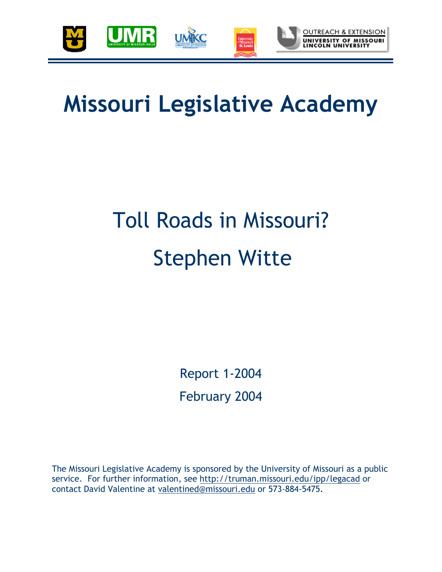

## **Missouri Legislative Academy**

# Toll Roads in Missouri? Stephen Witte

Report 1-2004 February 2004

The Missouri Legislative Academy is sponsored by the University of Missouri as a public service. For further information, see http://truman.missouri.edu/ipp/legacad or contact David Valentine at valentined@missouri.edu or 573-884-5475.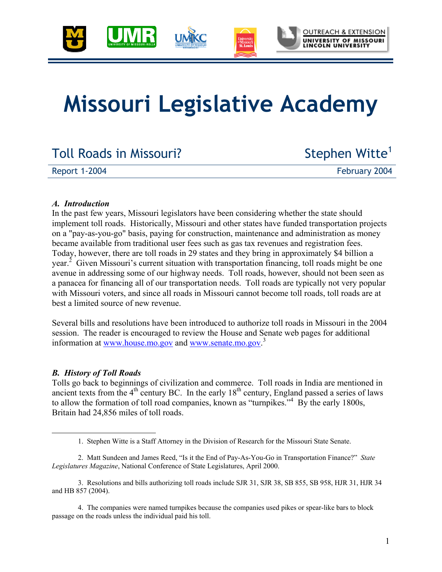

## **Missouri Legislative Academy**

### Toll Roads in Missouri? Stephen Witte<sup>1</sup>

Report 1-2004 **February 2004** 

#### *A. Introduction*

In the past few years, Missouri legislators have been considering whether the state should implement toll roads. Historically, Missouri and other states have funded transportation projects on a "pay-as-you-go" basis, paying for construction, maintenance and administration as money became available from traditional user fees such as gas tax revenues and registration fees. Today, however, there are toll roads in 29 states and they bring in approximately \$4 billion a year.<sup>2</sup> Given Missouri's current situation with transportation financing, toll roads might be one avenue in addressing some of our highway needs. Toll roads, however, should not been seen as a panacea for financing all of our transportation needs. Toll roads are typically not very popular with Missouri voters, and since all roads in Missouri cannot become toll roads, toll roads are at best a limited source of new revenue.

Several bills and resolutions have been introduced to authorize toll roads in Missouri in the 2004 session. The reader is encouraged to review the House and Senate web pages for additional information at www.house.mo.gov and www.senate.mo.gov. 3

#### *B. History of Toll Roads*

Tolls go back to beginnings of civilization and commerce. Toll roads in India are mentioned in ancient texts from the  $4<sup>th</sup>$  century BC. In the early  $18<sup>th</sup>$  century, England passed a series of laws to allow the formation of toll road companies, known as "turnpikes."<sup>4</sup> By the early 1800s, Britain had 24,856 miles of toll roads.

 <sup>1.</sup> Stephen Witte is a Staff Attorney in the Division of Research for the Missouri State Senate.

<sup>2.</sup> Matt Sundeen and James Reed, "Is it the End of Pay-As-You-Go in Transportation Finance?" *State Legislatures Magazine*, National Conference of State Legislatures, April 2000.

<sup>3.</sup> Resolutions and bills authorizing toll roads include SJR 31, SJR 38, SB 855, SB 958, HJR 31, HJR 34 and HB 857 (2004).

<sup>4.</sup> The companies were named turnpikes because the companies used pikes or spear-like bars to block passage on the roads unless the individual paid his toll.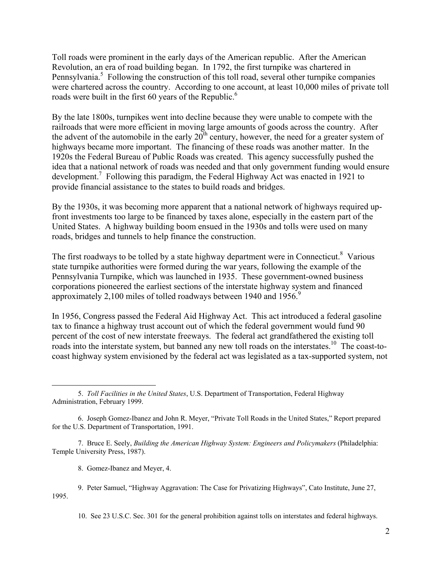Toll roads were prominent in the early days of the American republic. After the American Revolution, an era of road building began. In 1792, the first turnpike was chartered in Pennsylvania.<sup>5</sup> Following the construction of this toll road, several other turnpike companies were chartered across the country. According to one account, at least 10,000 miles of private toll roads were built in the first 60 years of the Republic.<sup>6</sup>

By the late 1800s, turnpikes went into decline because they were unable to compete with the railroads that were more efficient in moving large amounts of goods across the country. After the advent of the automobile in the early  $20^{th}$  century, however, the need for a greater system of highways became more important. The financing of these roads was another matter. In the 1920s the Federal Bureau of Public Roads was created. This agency successfully pushed the idea that a national network of roads was needed and that only government funding would ensure development.<sup>7</sup> Following this paradigm, the Federal Highway Act was enacted in 1921 to provide financial assistance to the states to build roads and bridges.

By the 1930s, it was becoming more apparent that a national network of highways required upfront investments too large to be financed by taxes alone, especially in the eastern part of the United States. A highway building boom ensued in the 1930s and tolls were used on many roads, bridges and tunnels to help finance the construction.

The first roadways to be tolled by a state highway department were in Connecticut. $8$  Various state turnpike authorities were formed during the war years, following the example of the Pennsylvania Turnpike, which was launched in 1935. These government-owned business corporations pioneered the earliest sections of the interstate highway system and financed approximately 2,100 miles of tolled roadways between 1940 and 1956.<sup>9</sup>

In 1956, Congress passed the Federal Aid Highway Act. This act introduced a federal gasoline tax to finance a highway trust account out of which the federal government would fund 90 percent of the cost of new interstate freeways. The federal act grandfathered the existing toll roads into the interstate system, but banned any new toll roads on the interstates.<sup>10</sup> The coast-tocoast highway system envisioned by the federal act was legislated as a tax-supported system, not

10. See 23 U.S.C. Sec. 301 for the general prohibition against tolls on interstates and federal highways.

 <sup>5.</sup> *Toll Facilities in the United States*, U.S. Department of Transportation, Federal Highway Administration, February 1999.

<sup>6.</sup> Joseph Gomez-Ibanez and John R. Meyer, "Private Toll Roads in the United States," Report prepared for the U.S. Department of Transportation, 1991.

<sup>7.</sup> Bruce E. Seely, *Building the American Highway System: Engineers and Policymakers* (Philadelphia: Temple University Press, 1987).

<sup>8.</sup> Gomez-Ibanez and Meyer, 4.

<sup>9.</sup> Peter Samuel, "Highway Aggravation: The Case for Privatizing Highways", Cato Institute, June 27, 1995.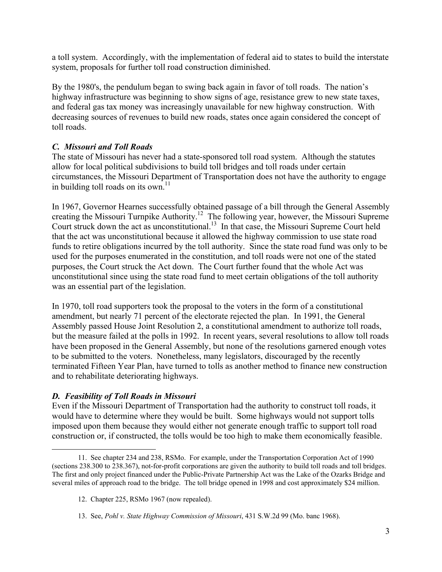a toll system. Accordingly, with the implementation of federal aid to states to build the interstate system, proposals for further toll road construction diminished.

By the 1980's, the pendulum began to swing back again in favor of toll roads. The nation's highway infrastructure was beginning to show signs of age, resistance grew to new state taxes, and federal gas tax money was increasingly unavailable for new highway construction. With decreasing sources of revenues to build new roads, states once again considered the concept of toll roads.

#### *C. Missouri and Toll Roads*

The state of Missouri has never had a state-sponsored toll road system. Although the statutes allow for local political subdivisions to build toll bridges and toll roads under certain circumstances, the Missouri Department of Transportation does not have the authority to engage in building toll roads on its own. $11$ 

In 1967, Governor Hearnes successfully obtained passage of a bill through the General Assembly creating the Missouri Turnpike Authority.<sup>12</sup> The following year, however, the Missouri Supreme Court struck down the act as unconstitutional.<sup>13</sup> In that case, the Missouri Supreme Court held that the act was unconstitutional because it allowed the highway commission to use state road funds to retire obligations incurred by the toll authority. Since the state road fund was only to be used for the purposes enumerated in the constitution, and toll roads were not one of the stated purposes, the Court struck the Act down. The Court further found that the whole Act was unconstitutional since using the state road fund to meet certain obligations of the toll authority was an essential part of the legislation.

In 1970, toll road supporters took the proposal to the voters in the form of a constitutional amendment, but nearly 71 percent of the electorate rejected the plan. In 1991, the General Assembly passed House Joint Resolution 2, a constitutional amendment to authorize toll roads, but the measure failed at the polls in 1992. In recent years, several resolutions to allow toll roads have been proposed in the General Assembly, but none of the resolutions garnered enough votes to be submitted to the voters. Nonetheless, many legislators, discouraged by the recently terminated Fifteen Year Plan, have turned to tolls as another method to finance new construction and to rehabilitate deteriorating highways.

#### *D. Feasibility of Toll Roads in Missouri*

Even if the Missouri Department of Transportation had the authority to construct toll roads, it would have to determine where they would be built. Some highways would not support tolls imposed upon them because they would either not generate enough traffic to support toll road construction or, if constructed, the tolls would be too high to make them economically feasible.

 <sup>11.</sup> See chapter 234 and 238, RSMo. For example, under the Transportation Corporation Act of 1990 (sections 238.300 to 238.367), not-for-profit corporations are given the authority to build toll roads and toll bridges. The first and only project financed under the Public-Private Partnership Act was the Lake of the Ozarks Bridge and several miles of approach road to the bridge. The toll bridge opened in 1998 and cost approximately \$24 million.

<sup>12.</sup> Chapter 225, RSMo 1967 (now repealed).

<sup>13.</sup> See, *Pohl v. State Highway Commission of Missouri*, 431 S.W.2d 99 (Mo. banc 1968).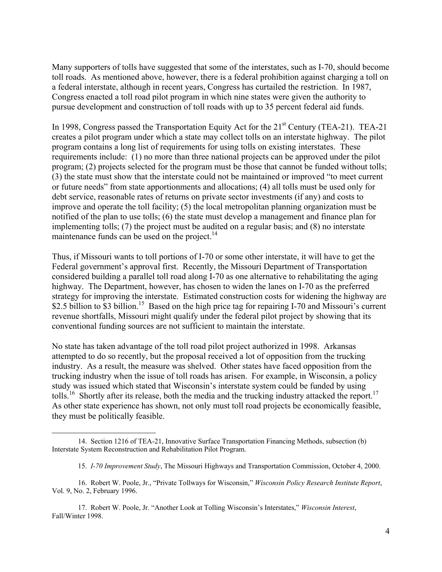Many supporters of tolls have suggested that some of the interstates, such as I-70, should become toll roads. As mentioned above, however, there is a federal prohibition against charging a toll on a federal interstate, although in recent years, Congress has curtailed the restriction. In 1987, Congress enacted a toll road pilot program in which nine states were given the authority to pursue development and construction of toll roads with up to 35 percent federal aid funds.

In 1998, Congress passed the Transportation Equity Act for the 21<sup>st</sup> Century (TEA-21). TEA-21 creates a pilot program under which a state may collect tolls on an interstate highway. The pilot program contains a long list of requirements for using tolls on existing interstates. These requirements include: (1) no more than three national projects can be approved under the pilot program; (2) projects selected for the program must be those that cannot be funded without tolls; (3) the state must show that the interstate could not be maintained or improved "to meet current or future needs" from state apportionments and allocations; (4) all tolls must be used only for debt service, reasonable rates of returns on private sector investments (if any) and costs to improve and operate the toll facility; (5) the local metropolitan planning organization must be notified of the plan to use tolls; (6) the state must develop a management and finance plan for implementing tolls; (7) the project must be audited on a regular basis; and (8) no interstate maintenance funds can be used on the project. $^{14}$ 

Thus, if Missouri wants to toll portions of I-70 or some other interstate, it will have to get the Federal government's approval first. Recently, the Missouri Department of Transportation considered building a parallel toll road along I-70 as one alternative to rehabilitating the aging highway. The Department, however, has chosen to widen the lanes on I-70 as the preferred strategy for improving the interstate. Estimated construction costs for widening the highway are \$2.5 billion to \$3 billion.<sup>15</sup> Based on the high price tag for repairing I-70 and Missouri's current revenue shortfalls, Missouri might qualify under the federal pilot project by showing that its conventional funding sources are not sufficient to maintain the interstate.

No state has taken advantage of the toll road pilot project authorized in 1998. Arkansas attempted to do so recently, but the proposal received a lot of opposition from the trucking industry. As a result, the measure was shelved. Other states have faced opposition from the trucking industry when the issue of toll roads has arisen. For example, in Wisconsin, a policy study was issued which stated that Wisconsin's interstate system could be funded by using tolls.<sup>16</sup> Shortly after its release, both the media and the trucking industry attacked the report.<sup>17</sup> As other state experience has shown, not only must toll road projects be economically feasible, they must be politically feasible.

 <sup>14.</sup> Section 1216 of TEA-21, Innovative Surface Transportation Financing Methods, subsection (b) Interstate System Reconstruction and Rehabilitation Pilot Program.

<sup>15.</sup> *I-70 Improvement Study*, The Missouri Highways and Transportation Commission, October 4, 2000.

<sup>16.</sup> Robert W. Poole, Jr., "Private Tollways for Wisconsin," *Wisconsin Policy Research Institute Report*, Vol. 9, No. 2, February 1996.

<sup>17.</sup> Robert W. Poole, Jr. "Another Look at Tolling Wisconsin's Interstates," *Wisconsin Interest*, Fall/Winter 1998.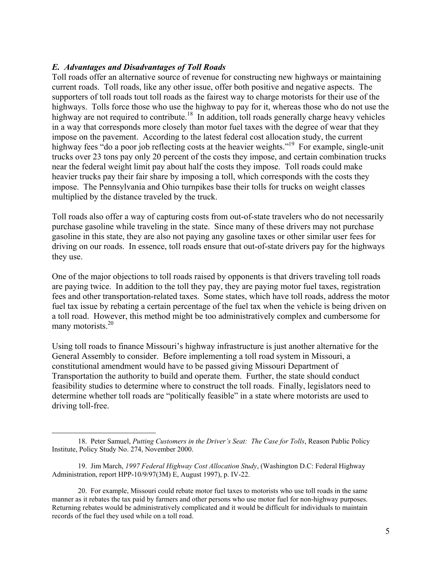#### *E. Advantages and Disadvantages of Toll Roads*

Toll roads offer an alternative source of revenue for constructing new highways or maintaining current roads. Toll roads, like any other issue, offer both positive and negative aspects. The supporters of toll roads tout toll roads as the fairest way to charge motorists for their use of the highways. Tolls force those who use the highway to pay for it, whereas those who do not use the highway are not required to contribute.<sup>18</sup> In addition, toll roads generally charge heavy vehicles in a way that corresponds more closely than motor fuel taxes with the degree of wear that they impose on the pavement. According to the latest federal cost allocation study, the current highway fees "do a poor job reflecting costs at the heavier weights."<sup>19</sup> For example, single-unit trucks over 23 tons pay only 20 percent of the costs they impose, and certain combination trucks near the federal weight limit pay about half the costs they impose. Toll roads could make heavier trucks pay their fair share by imposing a toll, which corresponds with the costs they impose. The Pennsylvania and Ohio turnpikes base their tolls for trucks on weight classes multiplied by the distance traveled by the truck.

Toll roads also offer a way of capturing costs from out-of-state travelers who do not necessarily purchase gasoline while traveling in the state. Since many of these drivers may not purchase gasoline in this state, they are also not paying any gasoline taxes or other similar user fees for driving on our roads. In essence, toll roads ensure that out-of-state drivers pay for the highways they use.

One of the major objections to toll roads raised by opponents is that drivers traveling toll roads are paying twice. In addition to the toll they pay, they are paying motor fuel taxes, registration fees and other transportation-related taxes. Some states, which have toll roads, address the motor fuel tax issue by rebating a certain percentage of the fuel tax when the vehicle is being driven on a toll road. However, this method might be too administratively complex and cumbersome for many motorists. $20$ 

Using toll roads to finance Missouri's highway infrastructure is just another alternative for the General Assembly to consider. Before implementing a toll road system in Missouri, a constitutional amendment would have to be passed giving Missouri Department of Transportation the authority to build and operate them. Further, the state should conduct feasibility studies to determine where to construct the toll roads. Finally, legislators need to determine whether toll roads are "politically feasible" in a state where motorists are used to driving toll-free.

 <sup>18.</sup> Peter Samuel, *Putting Customers in the Driver's Seat: The Case for Tolls*, Reason Public Policy Institute, Policy Study No. 274, November 2000.

<sup>19.</sup> Jim March, *1997 Federal Highway Cost Allocation Study*, (Washington D.C: Federal Highway Administration, report HPP-10/9/97(3M) E, August 1997), p. IV-22.

<sup>20.</sup> For example, Missouri could rebate motor fuel taxes to motorists who use toll roads in the same manner as it rebates the tax paid by farmers and other persons who use motor fuel for non-highway purposes. Returning rebates would be administratively complicated and it would be difficult for individuals to maintain records of the fuel they used while on a toll road.